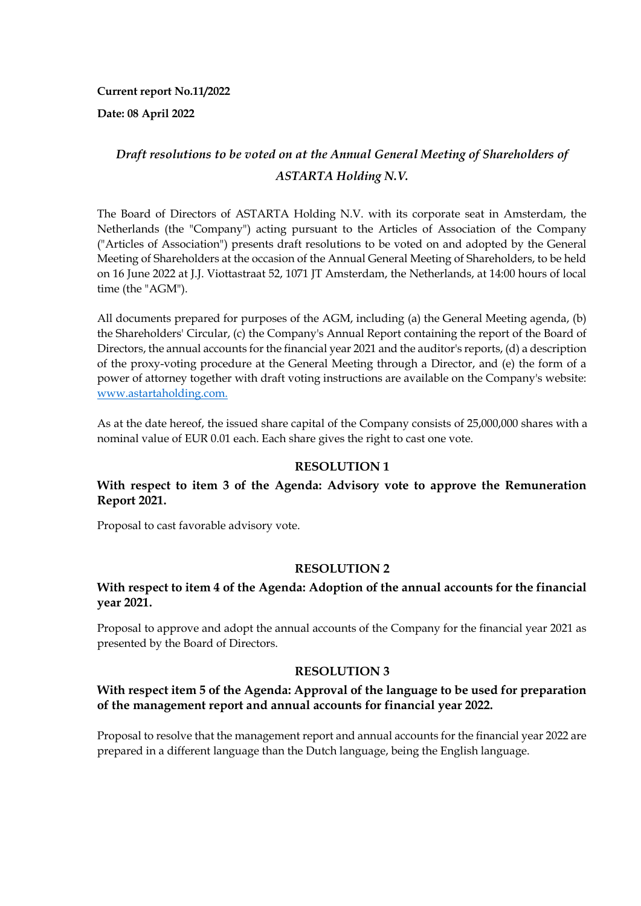**Current report No.11/2022**

**Date: 08 April 2022**

# *Draft resolutions to be voted on at the Annual General Meeting of Shareholders of ASTARTA Holding N.V.*

The Board of Directors of ASTARTA Holding N.V. with its corporate seat in Amsterdam, the Netherlands (the "Company") acting pursuant to the Articles of Association of the Company ("Articles of Association") presents draft resolutions to be voted on and adopted by the General Meeting of Shareholders at the occasion of the Annual General Meeting of Shareholders, to be held on 16 June 2022 at J.J. Viottastraat 52, 1071 JT Amsterdam, the Netherlands, at 14:00 hours of local time (the "AGM").

All documents prepared for purposes of the AGM, including (a) the General Meeting agenda, (b) the Shareholders' Circular, (c) the Company's Annual Report containing the report of the Board of Directors, the annual accounts for the financial year 2021 and the auditor's reports, (d) a description of the proxy-voting procedure at the General Meeting through a Director, and (e) the form of a power of attorney together with draft voting instructions are available on the Company's website: www.astartaholding.com.

As at the date hereof, the issued share capital of the Company consists of 25,000,000 shares with a nominal value of EUR 0.01 each. Each share gives the right to cast one vote.

### **RESOLUTION 1**

### **With respect to item 3 of the Agenda: Advisory vote to approve the Remuneration Report 2021.**

Proposal to cast favorable advisory vote.

### **RESOLUTION 2**

#### **With respect to item 4 of the Agenda: Adoption of the annual accounts for the financial year 2021.**

Proposal to approve and adopt the annual accounts of the Company for the financial year 2021 as presented by the Board of Directors.

#### **RESOLUTION 3**

### **With respect item 5 of the Agenda: Approval of the language to be used for preparation of the management report and annual accounts for financial year 2022.**

Proposal to resolve that the management report and annual accounts for the financial year 2022 are prepared in a different language than the Dutch language, being the English language.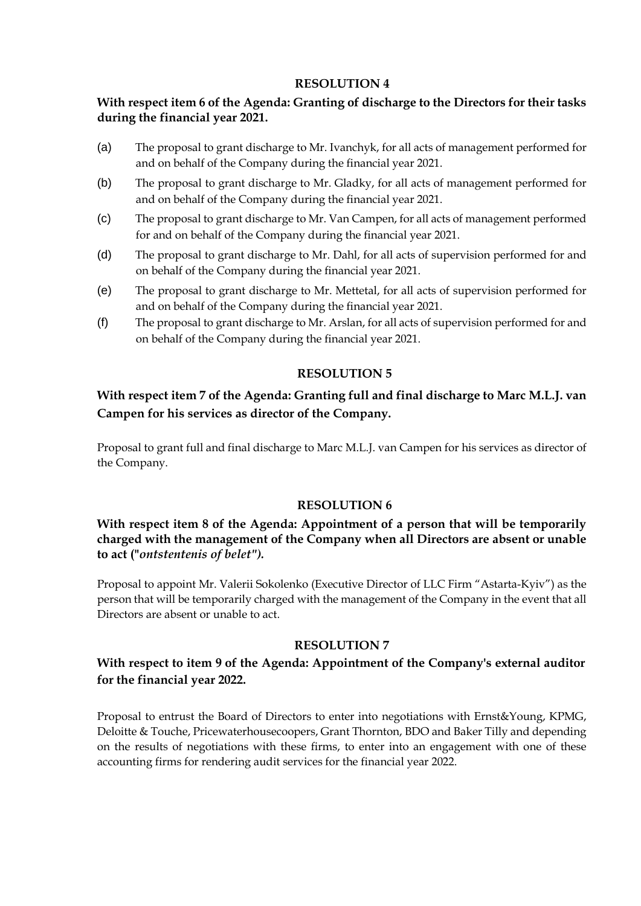#### **RESOLUTION 4**

### **With respect item 6 of the Agenda: Granting of discharge to the Directors for their tasks during the financial year 2021.**

- (a) The proposal to grant discharge to Mr. Ivanchyk, for all acts of management performed for and on behalf of the Company during the financial year 2021.
- (b) The proposal to grant discharge to Mr. Gladky, for all acts of management performed for and on behalf of the Company during the financial year 2021.
- (c) The proposal to grant discharge to Mr. Van Campen, for all acts of management performed for and on behalf of the Company during the financial year 2021.
- (d) The proposal to grant discharge to Mr. Dahl, for all acts of supervision performed for and on behalf of the Company during the financial year 2021.
- (e) The proposal to grant discharge to Mr. Mettetal, for all acts of supervision performed for and on behalf of the Company during the financial year 2021.
- (f) The proposal to grant discharge to Mr. Arslan, for all acts of supervision performed for and on behalf of the Company during the financial year 2021.

### **RESOLUTION 5**

## **With respect item 7 of the Agenda: Granting full and final discharge to Marc M.L.J. van Campen for his services as director of the Company.**

Proposal to grant full and final discharge to Marc M.L.J. van Campen for his services as director of the Company.

### **RESOLUTION 6**

### **With respect item 8 of the Agenda: Appointment of a person that will be temporarily charged with the management of the Company when all Directors are absent or unable to act ("***ontstentenis of belet").*

Proposal to appoint Mr. Valerii Sokolenko (Executive Director of LLC Firm "Astarta-Kyiv") as the person that will be temporarily charged with the management of the Company in the event that all Directors are absent or unable to act.

#### **RESOLUTION 7**

### **With respect to item 9 of the Agenda: Appointment of the Company's external auditor for the financial year 2022.**

Proposal to entrust the Board of Directors to enter into negotiations with Ernst&Young, KPMG, Deloitte & Touche, Pricewaterhousecoopers, Grant Thornton, BDO and Baker Tilly and depending on the results of negotiations with these firms, to enter into an engagement with one of these accounting firms for rendering audit services for the financial year 2022.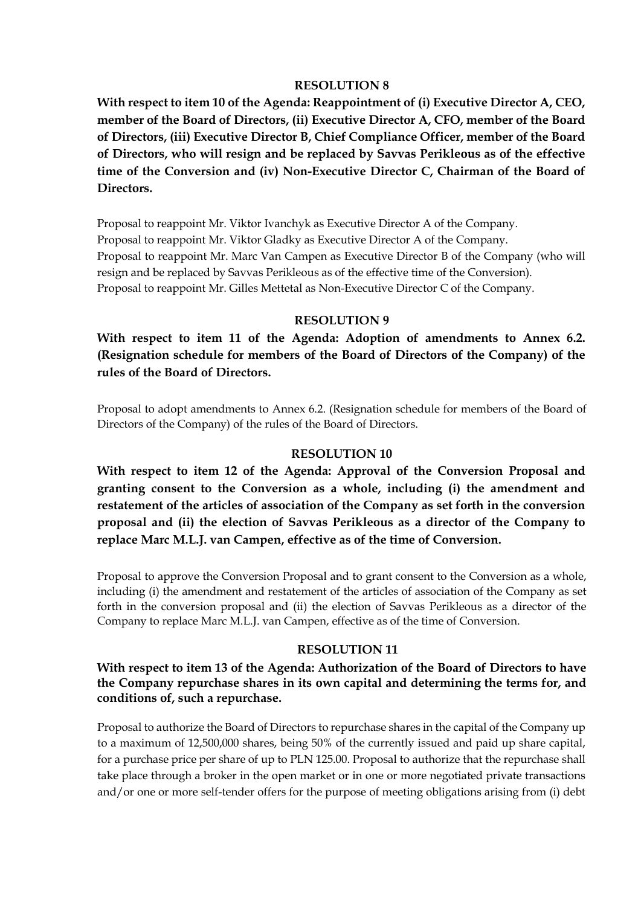#### **RESOLUTION 8**

**With respect to item 10 of the Agenda: Reappointment of (i) Executive Director A, CEO, member of the Board of Directors, (ii) Executive Director A, CFO, member of the Board of Directors, (iii) Executive Director B, Chief Compliance Officer, member of the Board of Directors, who will resign and be replaced by Savvas Perikleous as of the effective time of the Conversion and (iv) Non-Executive Director C, Chairman of the Board of Directors.**

Proposal to reappoint Mr. Viktor Ivanchyk as Executive Director A of the Company. Proposal to reappoint Mr. Viktor Gladky as Executive Director A of the Company. Proposal to reappoint Mr. Marc Van Campen as Executive Director B of the Company (who will resign and be replaced by Savvas Perikleous as of the effective time of the Conversion). Proposal to reappoint Mr. Gilles Mettetal as Non-Executive Director C of the Company.

#### **RESOLUTION 9**

**With respect to item 11 of the Agenda: Adoption of amendments to Annex 6.2. (Resignation schedule for members of the Board of Directors of the Company) of the rules of the Board of Directors.**

Proposal to adopt amendments to Annex 6.2. (Resignation schedule for members of the Board of Directors of the Company) of the rules of the Board of Directors.

#### **RESOLUTION 10**

**With respect to item 12 of the Agenda: Approval of the Conversion Proposal and granting consent to the Conversion as a whole, including (i) the amendment and restatement of the articles of association of the Company as set forth in the conversion proposal and (ii) the election of Savvas Perikleous as a director of the Company to replace Marc M.L.J. van Campen, effective as of the time of Conversion.**

Proposal to approve the Conversion Proposal and to grant consent to the Conversion as a whole, including (i) the amendment and restatement of the articles of association of the Company as set forth in the conversion proposal and (ii) the election of Savvas Perikleous as a director of the Company to replace Marc M.L.J. van Campen, effective as of the time of Conversion.

#### **RESOLUTION 11**

**With respect to item 13 of the Agenda: Authorization of the Board of Directors to have the Company repurchase shares in its own capital and determining the terms for, and conditions of, such a repurchase.**

Proposal to authorize the Board of Directors to repurchase shares in the capital of the Company up to a maximum of 12,500,000 shares, being 50% of the currently issued and paid up share capital, for a purchase price per share of up to PLN 125.00. Proposal to authorize that the repurchase shall take place through a broker in the open market or in one or more negotiated private transactions and/or one or more self-tender offers for the purpose of meeting obligations arising from (i) debt